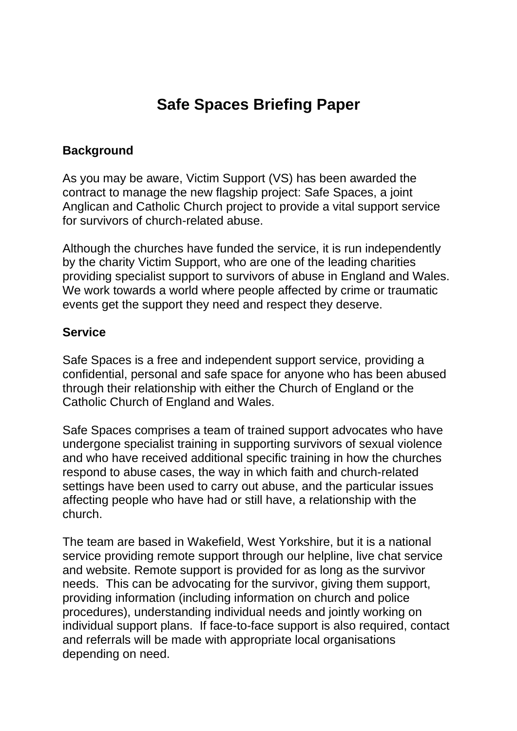# **Safe Spaces Briefing Paper**

#### **Background**

As you may be aware, Victim Support (VS) has been awarded the contract to manage the new flagship project: Safe Spaces, a joint Anglican and Catholic Church project to provide a vital support service for survivors of church-related abuse.

Although the churches have funded the service, it is run independently by the charity Victim Support, who are one of the leading charities providing specialist support to survivors of abuse in England and Wales. We work towards a world where people affected by crime or traumatic events get the support they need and respect they deserve.

#### **Service**

Safe Spaces is a free and independent support service, providing a confidential, personal and safe space for anyone who has been abused through their relationship with either the Church of England or the Catholic Church of England and Wales.

Safe Spaces comprises a team of trained support advocates who have undergone specialist training in supporting survivors of sexual violence and who have received additional specific training in how the churches respond to abuse cases, the way in which faith and church-related settings have been used to carry out abuse, and the particular issues affecting people who have had or still have, a relationship with the church.

The team are based in Wakefield, West Yorkshire, but it is a national service providing remote support through our helpline, live chat service and website. Remote support is provided for as long as the survivor needs. This can be advocating for the survivor, giving them support, providing information (including information on church and police procedures), understanding individual needs and jointly working on individual support plans. If face-to-face support is also required, contact and referrals will be made with appropriate local organisations depending on need.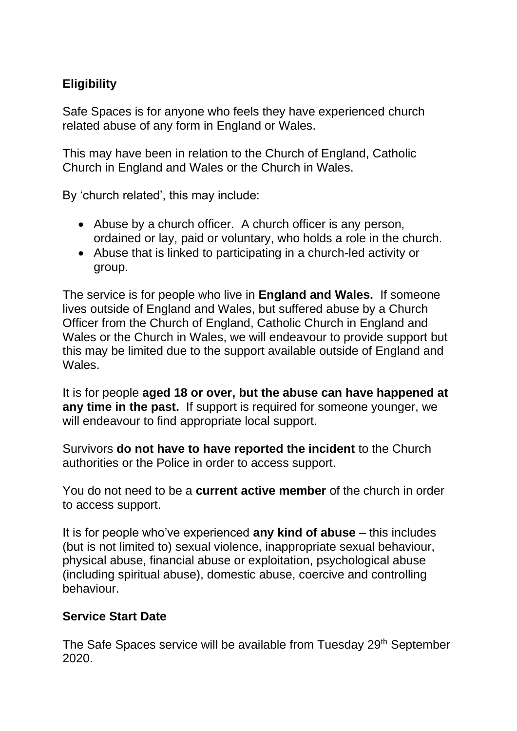## **Eligibility**

Safe Spaces is for anyone who feels they have experienced church related abuse of any form in England or Wales.

This may have been in relation to the Church of England, Catholic Church in England and Wales or the Church in Wales.

By 'church related', this may include:

- Abuse by a church officer. A church officer is any person, ordained or lay, paid or voluntary, who holds a role in the church.
- Abuse that is linked to participating in a church-led activity or group.

The service is for people who live in **England and Wales.** If someone lives outside of England and Wales, but suffered abuse by a Church Officer from the Church of England, Catholic Church in England and Wales or the Church in Wales, we will endeavour to provide support but this may be limited due to the support available outside of England and Wales.

It is for people **aged 18 or over, but the abuse can have happened at any time in the past.** If support is required for someone younger, we will endeavour to find appropriate local support.

Survivors **do not have to have reported the incident** to the Church authorities or the Police in order to access support.

You do not need to be a **current active member** of the church in order to access support.

It is for people who've experienced **any kind of abuse** – this includes (but is not limited to) sexual violence, inappropriate sexual behaviour, physical abuse, financial abuse or exploitation, psychological abuse (including spiritual abuse), domestic abuse, coercive and controlling behaviour.

#### **Service Start Date**

The Safe Spaces service will be available from Tuesday 29<sup>th</sup> September 2020.